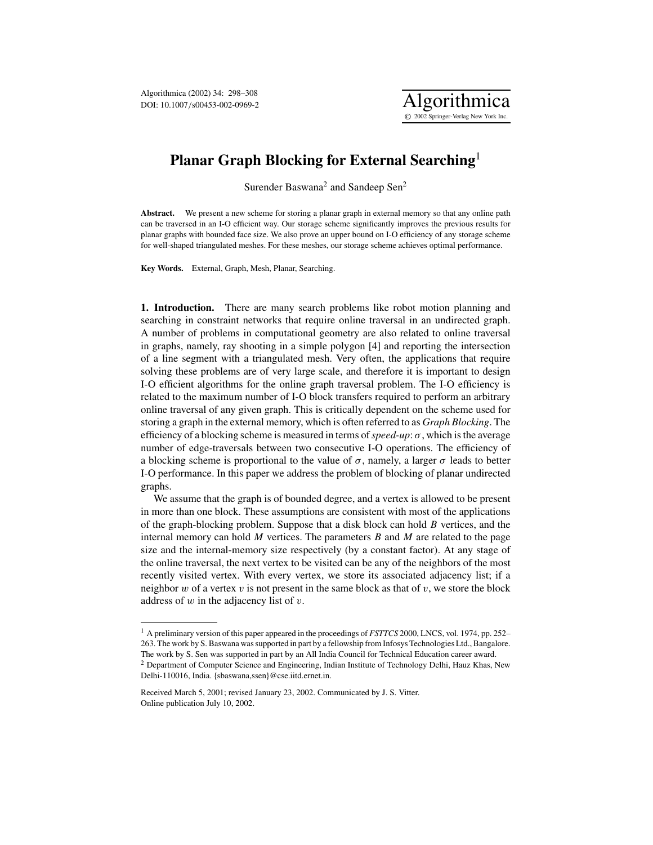

## **Planar Graph Blocking for External Searching**<sup>1</sup>

Surender Baswana<sup>2</sup> and Sandeep Sen<sup>2</sup>

Abstract. We present a new scheme for storing a planar graph in external memory so that any online path can be traversed in an I-O efficient way. Our storage scheme significantly improves the previous results for planar graphs with bounded face size. We also prove an upper bound on I-O efficiency of any storage scheme for well-shaped triangulated meshes. For these meshes, our storage scheme achieves optimal performance.

**Key Words.** External, Graph, Mesh, Planar, Searching.

**1. Introduction.** There are many search problems like robot motion planning and searching in constraint networks that require online traversal in an undirected graph. A number of problems in computational geometry are also related to online traversal in graphs, namely, ray shooting in a simple polygon [4] and reporting the intersection of a line segment with a triangulated mesh. Very often, the applications that require solving these problems are of very large scale, and therefore it is important to design I-O efficient algorithms for the online graph traversal problem. The I-O efficiency is related to the maximum number of I-O block transfers required to perform an arbitrary online traversal of any given graph. This is critically dependent on the scheme used for storing a graph in the external memory, which is often referred to as *Graph Blocking*. The efficiency of a blocking scheme is measured in terms of*speed-up*: σ, which is the average number of edge-traversals between two consecutive I-O operations. The efficiency of a blocking scheme is proportional to the value of  $\sigma$ , namely, a larger  $\sigma$  leads to better I-O performance. In this paper we address the problem of blocking of planar undirected graphs.

We assume that the graph is of bounded degree, and a vertex is allowed to be present in more than one block. These assumptions are consistent with most of the applications of the graph-blocking problem. Suppose that a disk block can hold *B* vertices, and the internal memory can hold *M* vertices. The parameters *B* and *M* are related to the page size and the internal-memory size respectively (by a constant factor). At any stage of the online traversal, the next vertex to be visited can be any of the neighbors of the most recently visited vertex. With every vertex, we store its associated adjacency list; if a neighbor w of a vertex v is not present in the same block as that of v, we store the block address of  $w$  in the adjacency list of  $v$ .

<sup>1</sup> A preliminary version of this paper appeared in the proceedings of *FSTTCS* 2000, LNCS, vol. 1974, pp. 252– 263. The work by S. Baswana was supported in part by a fellowship from Infosys Technologies Ltd., Bangalore. The work by S. Sen was supported in part by an All India Council for Technical Education career award. <sup>2</sup> Department of Computer Science and Engineering, Indian Institute of Technology Delhi, Hauz Khas, New

Delhi-110016, India. {sbaswana,ssen}@cse.iitd.ernet.in.

Received March 5, 2001; revised January 23, 2002. Communicated by J. S. Vitter. Online publication July 10, 2002.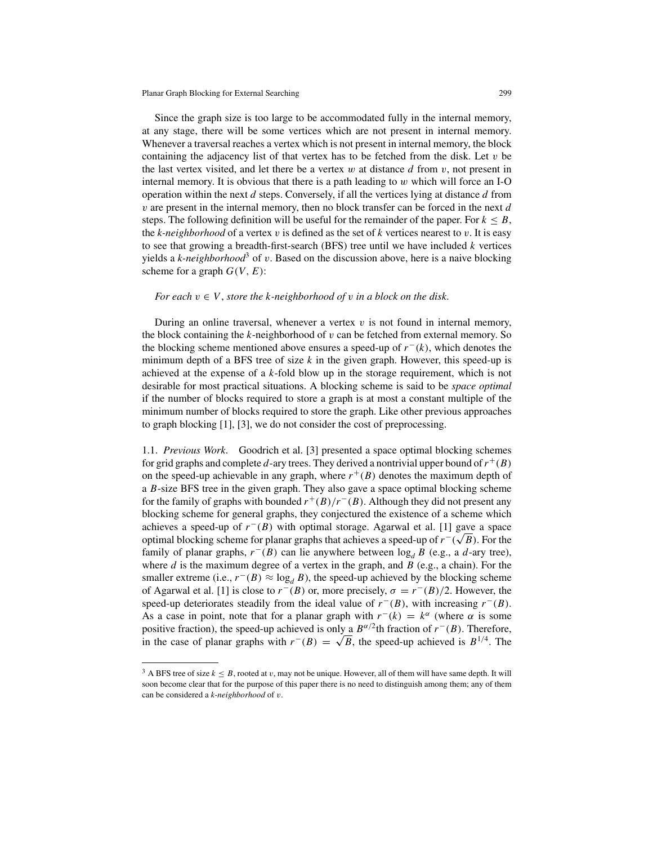Since the graph size is too large to be accommodated fully in the internal memory, at any stage, there will be some vertices which are not present in internal memory. Whenever a traversal reaches a vertex which is not present in internal memory, the block containing the adjacency list of that vertex has to be fetched from the disk. Let  $v$  be the last vertex visited, and let there be a vertex  $w$  at distance  $d$  from  $v$ , not present in internal memory. It is obvious that there is a path leading to  $w$  which will force an I-O operation within the next *d* steps. Conversely, if all the vertices lying at distance *d* from v are present in the internal memory, then no block transfer can be forced in the next *d* steps. The following definition will be useful for the remainder of the paper. For  $k \leq B$ , the *k-neighborhood* of a vertex  $v$  is defined as the set of  $k$  vertices nearest to  $v$ . It is easy to see that growing a breadth-first-search (BFS) tree until we have included *k* vertices yields a *k-neighborhood*<sup>3</sup> of v. Based on the discussion above, here is a naive blocking scheme for a graph  $G(V, E)$ :

## *For each*  $v \in V$ *, store the k-neighborhood of*  $v$  *in a block on the disk.*

During an online traversal, whenever a vertex  $v$  is not found in internal memory, the block containing the  $k$ -neighborhood of  $v$  can be fetched from external memory. So the blocking scheme mentioned above ensures a speed-up of *r*<sup>−</sup>(*k*), which denotes the minimum depth of a BFS tree of size  $k$  in the given graph. However, this speed-up is achieved at the expense of a *k*-fold blow up in the storage requirement, which is not desirable for most practical situations. A blocking scheme is said to be *space optimal* if the number of blocks required to store a graph is at most a constant multiple of the minimum number of blocks required to store the graph. Like other previous approaches to graph blocking [1], [3], we do not consider the cost of preprocessing.

1.1. *Previous Work*. Goodrich et al. [3] presented a space optimal blocking schemes for grid graphs and complete *d*-ary trees. They derived a nontrivial upper bound of  $r^+(B)$ on the speed-up achievable in any graph, where  $r^+(B)$  denotes the maximum depth of a *B*-size BFS tree in the given graph. They also gave a space optimal blocking scheme for the family of graphs with bounded  $r^+(B)/r^-(B)$ . Although they did not present any blocking scheme for general graphs, they conjectured the existence of a scheme which achieves a speed-up of  $r^{-}(B)$  with optimal storage. Agarwal et al. [1] gave a space achieves a speed-up of *r* (*B*) with optimal storage. Agarwal et al. [1] gave a space optimal blocking scheme for planar graphs that achieves a speed-up of *r*<sup>−</sup>(√*B*). For the family of planar graphs,  $r^{-}(B)$  can lie anywhere between  $\log_d B$  (e.g., a *d*-ary tree), where *d* is the maximum degree of a vertex in the graph, and *B* (e.g., a chain). For the smaller extreme (i.e.,  $r^{-}(B) \approx \log_d B$ ), the speed-up achieved by the blocking scheme of Agarwal et al. [1] is close to  $r^-(B)$  or, more precisely,  $\sigma = r^-(B)/2$ . However, the speed-up deteriorates steadily from the ideal value of  $r^-(B)$ , with increasing  $r^-(B)$ . As a case in point, note that for a planar graph with  $r^-(k) = k^\alpha$  (where  $\alpha$  is some positive fraction), the speed-up achieved is only a  $B^{\alpha/2}$ th fraction of  $r^-(B)$ . Therefore, in the case of planar graphs with  $r^{-}(B) = \sqrt{B}$ , the speed-up achieved is  $B^{1/4}$ . The

<sup>&</sup>lt;sup>3</sup> A BFS tree of size  $k \leq B$ , rooted at v, may not be unique. However, all of them will have same depth. It will soon become clear that for the purpose of this paper there is no need to distinguish among them; any of them can be considered a *k-neighborhood* of v.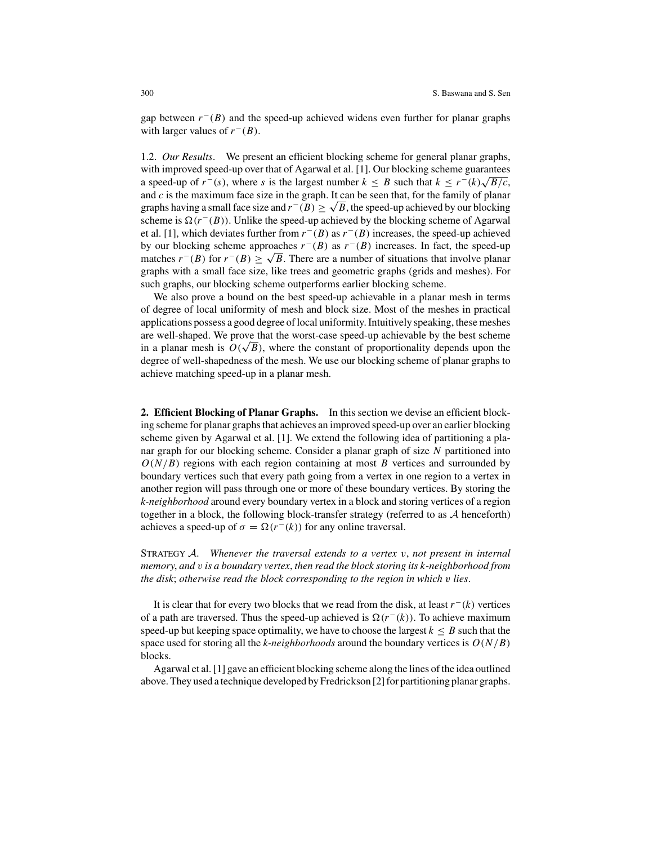gap between *r*<sup>−</sup>(*B*) and the speed-up achieved widens even further for planar graphs with larger values of *r*<sup>−</sup>(*B*).

1.2. *Our Results*. We present an efficient blocking scheme for general planar graphs, with improved speed-up over that of Agarwal et al. [1]. Our blocking scheme guarantees a speed-up of *r*−(*s*), where *s* is the largest number  $k \leq B$  such that  $k \leq r^{-}(k)\sqrt{B/c}$ , and *c* is the maximum face size in the graph. It can be seen that, for the family of planar graphs having a small face size and  $r^{-}(B) > \sqrt{B}$ , the speed-up achieved by our blocking scheme is  $\Omega(r^-(B))$ . Unlike the speed-up achieved by the blocking scheme of Agarwal et al. [1], which deviates further from *r*<sup>−</sup>(*B*) as *r*<sup>−</sup>(*B*) increases, the speed-up achieved by our blocking scheme approaches *r*<sup>−</sup>(*B*) as *r*<sup>−</sup>(*B*) increases. In fact, the speed-up matches  $r^{-}(B)$  for  $r^{-}(B) \ge \sqrt{B}$ . There are a number of situations that involve planar graphs with a small face size, like trees and geometric graphs (grids and meshes). For such graphs, our blocking scheme outperforms earlier blocking scheme.

We also prove a bound on the best speed-up achievable in a planar mesh in terms of degree of local uniformity of mesh and block size. Most of the meshes in practical applications possess a good degree of local uniformity. Intuitively speaking, these meshes are well-shaped. We prove that the worst-case speed-up achievable by the best scheme are well-snaped. We prove that the worst-case speed-up achievable by the best scheme<br>in a planar mesh is  $O(\sqrt{B})$ , where the constant of proportionality depends upon the degree of well-shapedness of the mesh. We use our blocking scheme of planar graphs to achieve matching speed-up in a planar mesh.

**2. Efficient Blocking of Planar Graphs.** In this section we devise an efficient blocking scheme for planar graphs that achieves an improved speed-up over an earlier blocking scheme given by Agarwal et al. [1]. We extend the following idea of partitioning a planar graph for our blocking scheme. Consider a planar graph of size *N* partitioned into *O*(*N*/*B*) regions with each region containing at most *B* vertices and surrounded by boundary vertices such that every path going from a vertex in one region to a vertex in another region will pass through one or more of these boundary vertices. By storing the *k-neighborhood* around every boundary vertex in a block and storing vertices of a region together in a block, the following block-transfer strategy (referred to as A henceforth) achieves a speed-up of  $\sigma = \Omega(r^-(k))$  for any online traversal.

STRATEGY A. *Whenever the traversal extends to a vertex* v, *not present in internal memory*, *and* v *is a boundary vertex*, *then read the block storing its k-neighborhood from the disk*; *otherwise read the block corresponding to the region in which* v *lies*.

It is clear that for every two blocks that we read from the disk, at least *r*<sup>−</sup>(*k*) vertices of a path are traversed. Thus the speed-up achieved is  $\Omega(r^-(k))$ . To achieve maximum speed-up but keeping space optimality, we have to choose the largest  $k \leq B$  such that the space used for storing all the *k-neighborhoods* around the boundary vertices is  $O(N/B)$ blocks.

Agarwal et al. [1] gave an efficient blocking scheme along the lines of the idea outlined above. They used a technique developed by Fredrickson [2] for partitioning planar graphs.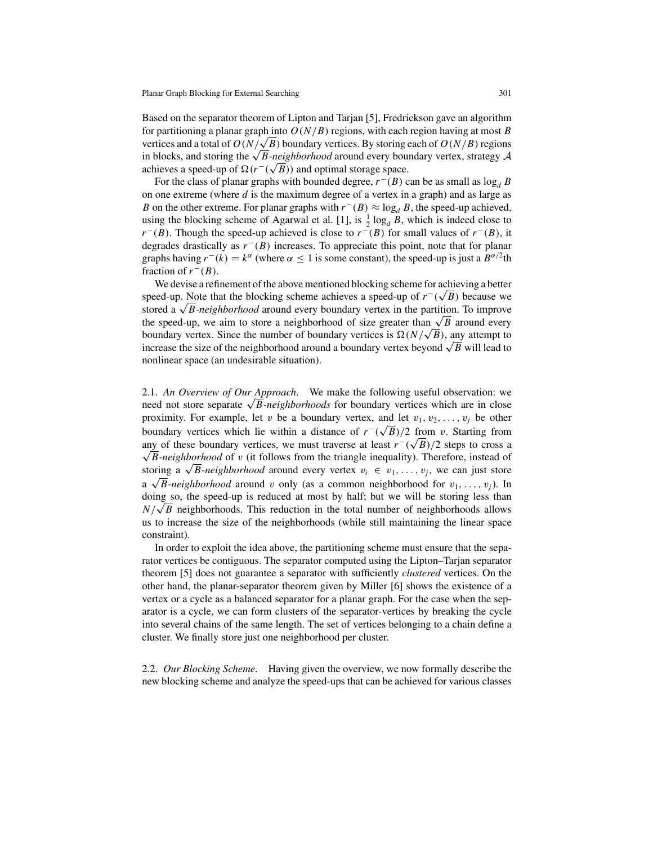Based on the separator theorem of Lipton and Tarjan [5], Fredrickson gave an algorithm for partitioning a planar graph into *O*(*N*/*B*) regions, with each region having at most *B* for partitioning a planar graph into  $O(N/B)$  regions, with each region having at most *B* vertices and a total of  $O(N/\sqrt{B})$  boundary vertices. By storing each of  $O(N/B)$  regions in blocks, and storing the  $\sqrt{B}$ -neighborhood around every boundary vertex, strategy  $\mathcal A$ an blocks, and storing the  $\sqrt{\frac{B}{P}}$ -*neignborhood* around every bourder achieves a speed-up of  $\Omega(r^-(\sqrt{B}))$  and optimal storage space.

For the class of planar graphs with bounded degree,  $r^-(B)$  can be as small as  $\log_d B$ on one extreme (where *d* is the maximum degree of a vertex in a graph) and as large as *B* on the other extreme. For planar graphs with  $r^{-}(B) \approx \log_d B$ , the speed-up achieved, using the blocking scheme of Agarwal et al. [1], is  $\frac{1}{2} \log_d B$ , which is indeed close to  $r^-(B)$ . Though the speed-up achieved is close to  $r^-(B)$  for small values of  $r^-(B)$ , it degrades drastically as  $r^{-}(B)$  increases. To appreciate this point, note that for planar graphs having  $r^-(k) = k^\alpha$  (where  $\alpha \le 1$  is some constant), the speed-up is just a  $B^{\alpha/2}$ th fraction of  $r^{-}(B)$ .

We devise a refinement of the above mentioned blocking scheme for achieving a better speed-up. Note that the blocking scheme achieves a speed-up of *r*−( $\sqrt{B}$ ) because we approve speed-up. Note that the blocking scheme achieves a speed-up of *r*−( $\sqrt{B}$ ) because we stored a  $\sqrt{B$ -neighborhood around every boundary vertex in the partition. To improve the speed-up, we aim to store a neighborhood of size greater than  $\sqrt{B}$  around every the speed-up, we aim to store a neighborhood of size greater than  $\sqrt{B}$  around every boundary vertex. Since the number of boundary vertices is  $\Omega(N/\sqrt{B})$ , any attempt to increase the size of the neighborhood around a boundary vertex beyond  $\sqrt{B}$  will lead to nonlinear space (an undesirable situation).

2.1. *An Overview of Our Approach*. We make the following useful observation: we need not store separate <sup>√</sup>*B-neighborhoods* for boundary vertices which are in close proximity. For example, let v be a boundary vertex, and let  $v_1, v_2, \ldots, v_i$  be other boundary vertices which lie within a distance of  $r^{-}(\sqrt{B})/2$  from v. Starting from boundary vertices which lie within a distance of  $r^{-}(\sqrt{B})/2$  from v. Starting from any of these boundary vertices, we must traverse at least *r*<sup>−</sup>( √ *B*)/2 steps to cross a  $\sqrt{B}$ -neighborhood of v (it follows from the triangle inequality). Therefore, instead of storing a  $\sqrt{B}$ -neighborhood around every vertex  $v_i \in v_1, \ldots, v_j$ , we can just store a  $\sqrt{B}$ -neighborhood around v only (as a common neighborhood for  $v_1, \ldots, v_i$ ). In doing so, the speed-up is reduced at most by half; but we will be storing less than aoing so, the speed-up is reduced at most by nair; but we will be storing less than  $N/\sqrt{B}$  neighborhoods. This reduction in the total number of neighborhoods allows us to increase the size of the neighborhoods (while still maintaining the linear space constraint).

In order to exploit the idea above, the partitioning scheme must ensure that the separator vertices be contiguous. The separator computed using the Lipton–Tarjan separator theorem [5] does not guarantee a separator with sufficiently *clustered* vertices. On the other hand, the planar-separator theorem given by Miller [6] shows the existence of a vertex or a cycle as a balanced separator for a planar graph. For the case when the separator is a cycle, we can form clusters of the separator-vertices by breaking the cycle into several chains of the same length. The set of vertices belonging to a chain define a cluster. We finally store just one neighborhood per cluster.

2.2. *Our Blocking Scheme*. Having given the overview, we now formally describe the new blocking scheme and analyze the speed-ups that can be achieved for various classes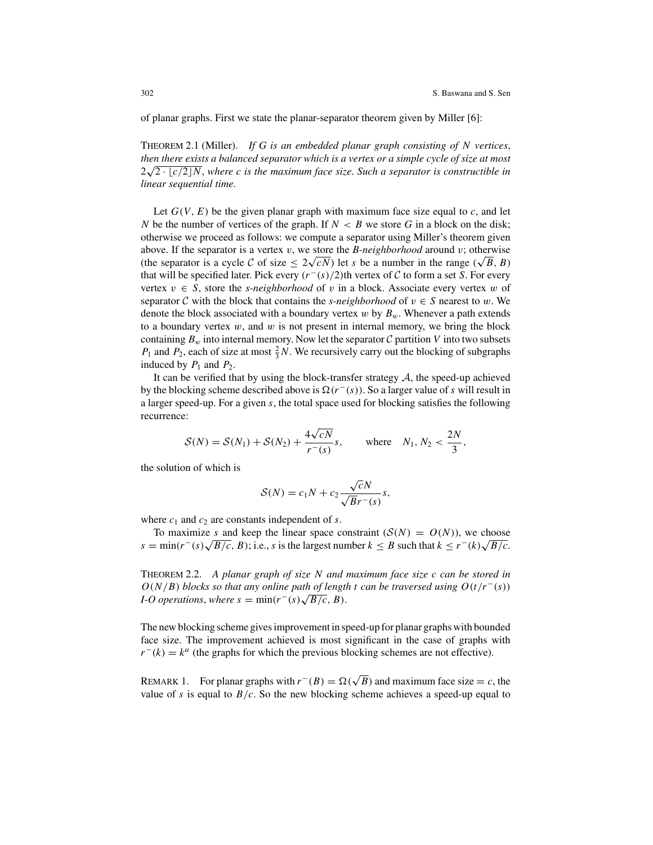of planar graphs. First we state the planar-separator theorem given by Miller [6]:

THEOREM 2.1 (Miller). *If G is an embedded planar graph consisting of N vertices*, *then there exists a balanced separator which is a vertex or a simple cycle of size at most nen inere exisis a baiancea separator wntch is a veriex or a simple cycle of size at most*<br>2√2 · [c/2]N, where c is the maximum face size. Such a separator is constructible in *linear sequential time*.

Let  $G(V, E)$  be the given planar graph with maximum face size equal to  $c$ , and let *N* be the number of vertices of the graph. If  $N < B$  we store *G* in a block on the disk; otherwise we proceed as follows: we compute a separator using Miller's theorem given above. If the separator is a vertex v, we store the *B-neighborhood* around v; otherwise above. If the separator is a vertex *v*, we store the *B*-*heighborhood* around *v*; otherwise (the separator is a cycle *C* of size  $\leq 2\sqrt{cN}$ ) let *s* be a number in the range ( $\sqrt{B}$ , *B*) that will be specified later. Pick every  $(r^-(s)/2)$ th vertex of  $C$  to form a set *S*. For every vertex  $v \in S$ , store the *s-neighborhood* of v in a block. Associate every vertex w of separator C with the block that contains the *s-neighborhood* of  $v \in S$  nearest to w. We denote the block associated with a boundary vertex w by  $B_w$ . Whenever a path extends to a boundary vertex  $w$ , and  $w$  is not present in internal memory, we bring the block containing  $B_w$  into internal memory. Now let the separator C partition V into two subsets  $P_1$  and  $P_2$ , each of size at most  $\frac{2}{3}N$ . We recursively carry out the blocking of subgraphs induced by  $P_1$  and  $P_2$ .

It can be verified that by using the block-transfer strategy  $A$ , the speed-up achieved by the blocking scheme described above is  $\Omega(r^-(s))$ . So a larger value of *s* will result in a larger speed-up. For a given *s*, the total space used for blocking satisfies the following recurrence:

$$
S(N) = S(N_1) + S(N_2) + \frac{4\sqrt{cN}}{r^-(s)}s, \quad \text{where} \quad N_1, N_2 < \frac{2N}{3},
$$

the solution of which is

$$
S(N) = c_1 N + c_2 \frac{\sqrt{c}N}{\sqrt{B}r^-(s)}s,
$$

where  $c_1$  and  $c_2$  are constants independent of  $s$ .

To maximize *s* and keep the linear space constraint  $(S(N) = O(N))$ , we choose *s* = min( $r^{-}(s) \sqrt{B/c}$ , *B*); i.e., *s* is the largest number *k* ≤ *B* such that  $k \le r^{-}(k) \sqrt{B/c}$ .

THEOREM 2.2. *A planar graph of size N and maximum face size c can be stored in*  $O(N/B)$  *blocks so that any online path of length t can be traversed using*  $O(t/r<sup>-</sup>(s))$ *I-O operations, where s* = min( $r^-(s) \sqrt{B/c}$ , *B*).

The new blocking scheme gives improvement in speed-up for planar graphs with bounded face size. The improvement achieved is most significant in the case of graphs with  $r^-(k) = k^\alpha$  (the graphs for which the previous blocking schemes are not effective).

REMARK 1. For planar graphs with  $r^{-}(B) = \Omega(\sqrt{B})$  and maximum face size = *c*, the value of *s* is equal to  $B/c$ . So the new blocking scheme achieves a speed-up equal to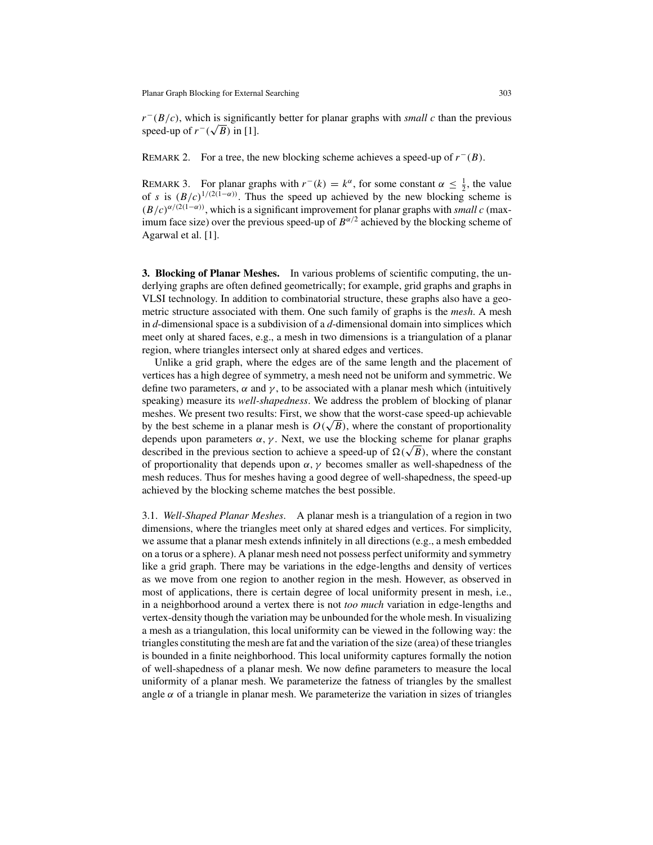Planar Graph Blocking for External Searching 303

 $r^-(B/c)$ , which is significantly better for planar graphs with *small c* than the previous  $r$  (*B*/*c*), which is significa<br>speed-up of  $r^{-}(\sqrt{B})$  in [1].

REMARK 2. For a tree, the new blocking scheme achieves a speed-up of  $r^-(B)$ .

REMARK 3. For planar graphs with  $r^-(k) = k^{\alpha}$ , for some constant  $\alpha \leq \frac{1}{2}$ , the value of *s* is  $(B/c)^{1/(2(1-\alpha))}$ . Thus the speed up achieved by the new blocking scheme is  $(B/c)^{\alpha/(2(1-\alpha))}$ , which is a significant improvement for planar graphs with *small c* (maximum face size) over the previous speed-up of  $B^{\alpha/2}$  achieved by the blocking scheme of Agarwal et al. [1].

**3. Blocking of Planar Meshes.** In various problems of scientific computing, the underlying graphs are often defined geometrically; for example, grid graphs and graphs in VLSI technology. In addition to combinatorial structure, these graphs also have a geometric structure associated with them. One such family of graphs is the *mesh*. A mesh in *d*-dimensional space is a subdivision of a *d*-dimensional domain into simplices which meet only at shared faces, e.g., a mesh in two dimensions is a triangulation of a planar region, where triangles intersect only at shared edges and vertices.

Unlike a grid graph, where the edges are of the same length and the placement of vertices has a high degree of symmetry, a mesh need not be uniform and symmetric. We define two parameters,  $\alpha$  and  $\gamma$ , to be associated with a planar mesh which (intuitively speaking) measure its *well-shapedness*. We address the problem of blocking of planar meshes. We present two results: First, we show that the worst-case speed-up achievable mesnes. We present two results: First, we show that the worst-case speed-up achievable<br>by the best scheme in a planar mesh is  $O(\sqrt{B})$ , where the constant of proportionality depends upon parameters  $\alpha$ ,  $\gamma$ . Next, we use the blocking scheme for planar graphs described in the previous section to achieve a speed-up of  $\Omega(\sqrt{B})$ , where the constant of proportionality that depends upon  $\alpha$ ,  $\gamma$  becomes smaller as well-shapedness of the mesh reduces. Thus for meshes having a good degree of well-shapedness, the speed-up achieved by the blocking scheme matches the best possible.

3.1. *Well-Shaped Planar Meshes*. A planar mesh is a triangulation of a region in two dimensions, where the triangles meet only at shared edges and vertices. For simplicity, we assume that a planar mesh extends infinitely in all directions (e.g., a mesh embedded on a torus or a sphere). A planar mesh need not possess perfect uniformity and symmetry like a grid graph. There may be variations in the edge-lengths and density of vertices as we move from one region to another region in the mesh. However, as observed in most of applications, there is certain degree of local uniformity present in mesh, i.e., in a neighborhood around a vertex there is not *too much* variation in edge-lengths and vertex-density though the variation may be unbounded for the whole mesh. In visualizing a mesh as a triangulation, this local uniformity can be viewed in the following way: the triangles constituting the mesh are fat and the variation of the size (area) of these triangles is bounded in a finite neighborhood. This local uniformity captures formally the notion of well-shapedness of a planar mesh. We now define parameters to measure the local uniformity of a planar mesh. We parameterize the fatness of triangles by the smallest angle  $\alpha$  of a triangle in planar mesh. We parameterize the variation in sizes of triangles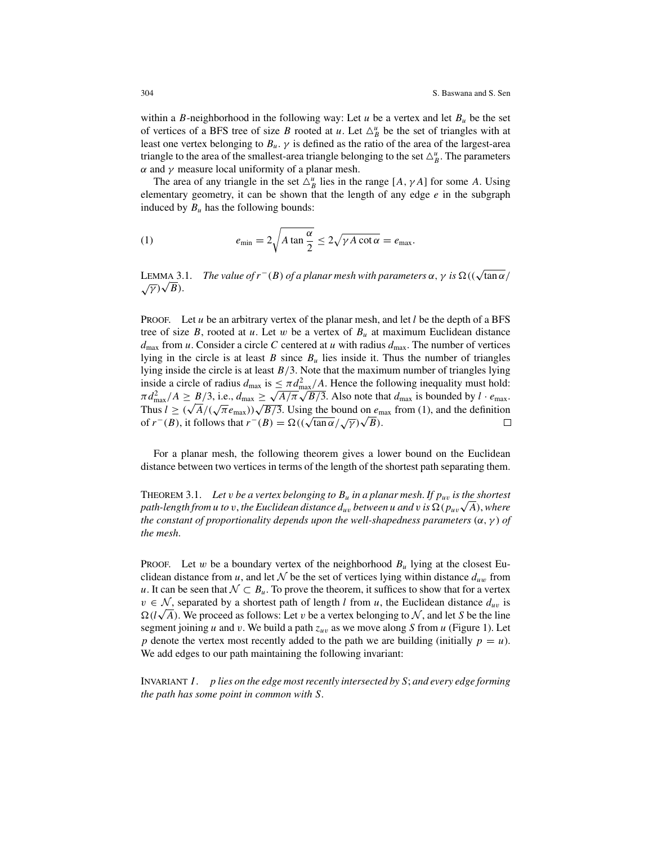within a *B*-neighborhood in the following way: Let *u* be a vertex and let  $B_u$  be the set of vertices of a BFS tree of size *B* rooted at *u*. Let  $\Delta_B^u$  be the set of triangles with at least one vertex belonging to  $B_u$ .  $\gamma$  is defined as the ratio of the area of the largest-area triangle to the area of the smallest-area triangle belonging to the set  $\Delta_B^u$ . The parameters α and γ measure local uniformity of a planar mesh.

The area of any triangle in the set  $\Delta_B^u$  lies in the range [*A*,  $\gamma A$ ] for some *A*. Using elementary geometry, it can be shown that the length of any edge *e* in the subgraph induced by  $B_u$  has the following bounds:

(1) 
$$
e_{\min} = 2\sqrt{A\tan\frac{\alpha}{2}} \le 2\sqrt{\gamma A \cot\alpha} = e_{\max}.
$$

LEMMA 3.1. *The value of r*<sup>−</sup>(*B*) *of a planar mesh with parameters*  $\alpha$ ,  $\gamma$  *is*  $\Omega$ (( $\sqrt{\tan \alpha}$ )  $\sqrt{\gamma}$   $\sqrt{B}$ ).

PROOF. Let *u* be an arbitrary vertex of the planar mesh, and let *l* be the depth of a BFS tree of size *B*, rooted at *u*. Let *w* be a vertex of  $B_u$  at maximum Euclidean distance  $d_{\text{max}}$  from *u*. Consider a circle *C* centered at *u* with radius  $d_{\text{max}}$ . The number of vertices lying in the circle is at least  $B$  since  $B_u$  lies inside it. Thus the number of triangles lying inside the circle is at least *B*/3. Note that the maximum number of triangles lying inside a circle of radius  $d_{\text{max}}$  is  $\leq \pi d_{\text{max}}^2/A$ . Hence the following inequality must hold:  $\pi d_{\text{max}}^2/A \geq B/3$ , i.e.,  $d_{\text{max}} \geq \sqrt{A/\pi} \sqrt{B/3}$ . Also note that  $d_{\text{max}}$  is bounded by  $l \cdot e_{\text{max}}$ .  $\pi a_{\text{max}}/A \geq B/3$ , i.e.,  $a_{\text{max}} \geq \sqrt{A/\pi} \sqrt{B/3}$ . Also note that  $a_{\text{max}}$  is bounded by  $i \cdot e_{\text{max}}$ .<br>Thus  $l \geq (\sqrt{A}/(\sqrt{\pi}e_{\text{max}}))\sqrt{B/3}$ . Using the bound on  $e_{\text{max}}$  from (1), and the definition of  $r^{-}(B)$ , it follows that  $r^{-}(B) = \Omega((\sqrt{\tan \alpha}/\sqrt{\gamma})\sqrt{B}).$  $\Box$ 

For a planar mesh, the following theorem gives a lower bound on the Euclidean distance between two vertices in terms of the length of the shortest path separating them.

THEOREM 3.1. Let v be a vertex belonging to  $B_u$  in a planar mesh. If  $p_{uv}$  is the shortest *path-length from u to v, the Euclidean distance d<sub>uv</sub> between u and v is*  $\Omega(p_{uv}\sqrt{A})$ *, where* $\eta$ *the constant of proportionality depends upon the well-shapedness parameters*  $(\alpha, \gamma)$  *of the mesh*.

**PROOF.** Let w be a boundary vertex of the neighborhood  $B_u$  lying at the closest Euclidean distance from *u*, and let N be the set of vertices lying within distance  $d_{uw}$  from *u*. It can be seen that  $\mathcal{N} \subset B_u$ . To prove the theorem, it suffices to show that for a vertex  $v \in \mathcal{N}$ , separated by a shortest path of length *l* from *u*, the Euclidean distance  $d_{uv}$  is  $v \in N$ , separated by a snortest path of length *l* from *u*, the Euclidean distance  $a_{uv}$  is  $\Omega(l\sqrt{A})$ . We proceed as follows: Let *v* be a vertex belonging to  $N$ , and let *S* be the line segment joining *u* and v. We build a path *zu*<sup>v</sup> as we move along *S* from *u* (Figure 1). Let *p* denote the vertex most recently added to the path we are building (initially  $p = u$ ). We add edges to our path maintaining the following invariant:

INVARIANT *I*. *p lies on the edge most recently intersected by S*; *and every edge forming the path has some point in common with S*.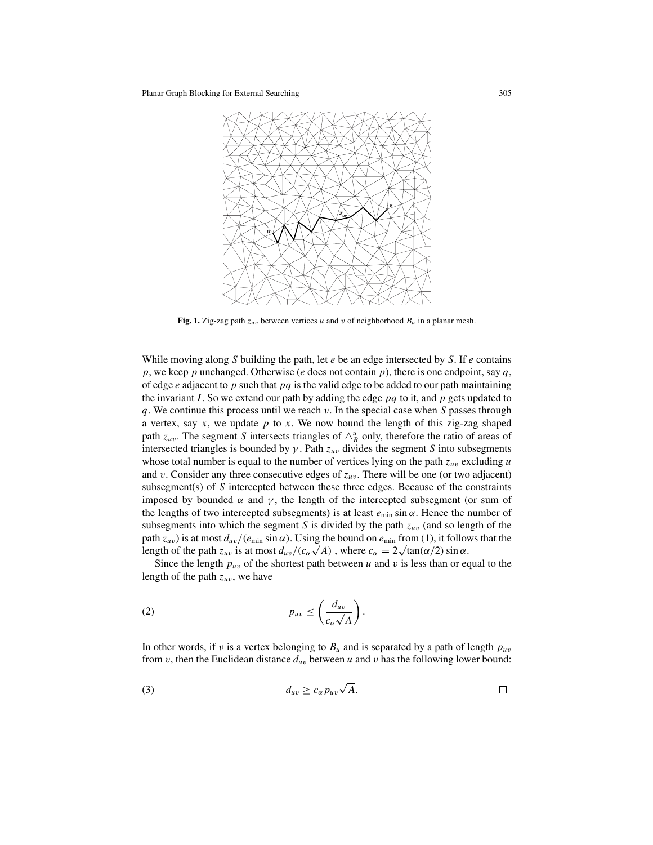

**Fig. 1.** Zig-zag path  $z_{uv}$  between vertices *u* and *v* of neighborhood  $B_u$  in a planar mesh.

While moving along *S* building the path, let *e* be an edge intersected by *S*. If *e* contains *p*, we keep *p* unchanged. Otherwise (*e* does not contain *p*), there is one endpoint, say *q*, of edge *e* adjacent to *p* such that *pq* is the valid edge to be added to our path maintaining the invariant *I*. So we extend our path by adding the edge *pq* to it, and *p* gets updated to *q*. We continue this process until we reach v. In the special case when *S* passes through a vertex, say *x*, we update *p* to *x*. We now bound the length of this zig-zag shaped path  $z_{uv}$ . The segment *S* intersects triangles of  $\Delta_B^u$  only, therefore the ratio of areas of intersected triangles is bounded by  $\gamma$ . Path  $z_{uv}$  divides the segment *S* into subsegments whose total number is equal to the number of vertices lying on the path  $z_{uv}$  excluding *u* and  $v$ . Consider any three consecutive edges of  $z_{uv}$ . There will be one (or two adjacent) subsegment(s) of *S* intercepted between these three edges. Because of the constraints imposed by bounded  $\alpha$  and  $\gamma$ , the length of the intercepted subsegment (or sum of the lengths of two intercepted subsegments) is at least *e*min sin α. Hence the number of subsegments into which the segment *S* is divided by the path  $z_{uv}$  (and so length of the path  $z_{uv}$ ) is at most  $d_{uv}/(e_{min} \sin \alpha)$ . Using the bound on  $e_{min}$  from (1), it follows that the path  $z_{uv}$ ) is at most  $d_{uv}/(e_{\min} \sin \alpha)$ . Using the bound on  $e_{\min}$  from (1), it follow<br>length of the path  $z_{uv}$  is at most  $d_{uv}/(c_{\alpha}\sqrt{A})$ , where  $c_{\alpha} = 2\sqrt{\tan(\alpha/2)} \sin \alpha$ .

Since the length  $p_{uv}$  of the shortest path between  $u$  and  $v$  is less than or equal to the length of the path *zu*v, we have

$$
(2) \t\t p_{uv} \le \left(\frac{d_{uv}}{c_{\alpha}\sqrt{A}}\right).
$$

In other words, if v is a vertex belonging to  $B_u$  and is separated by a path of length  $p_{uv}$ from  $v$ , then the Euclidean distance  $d_{uv}$  between  $u$  and  $v$  has the following lower bound:

$$
d_{uv} \ge c_{\alpha} p_{uv} \sqrt{A}.
$$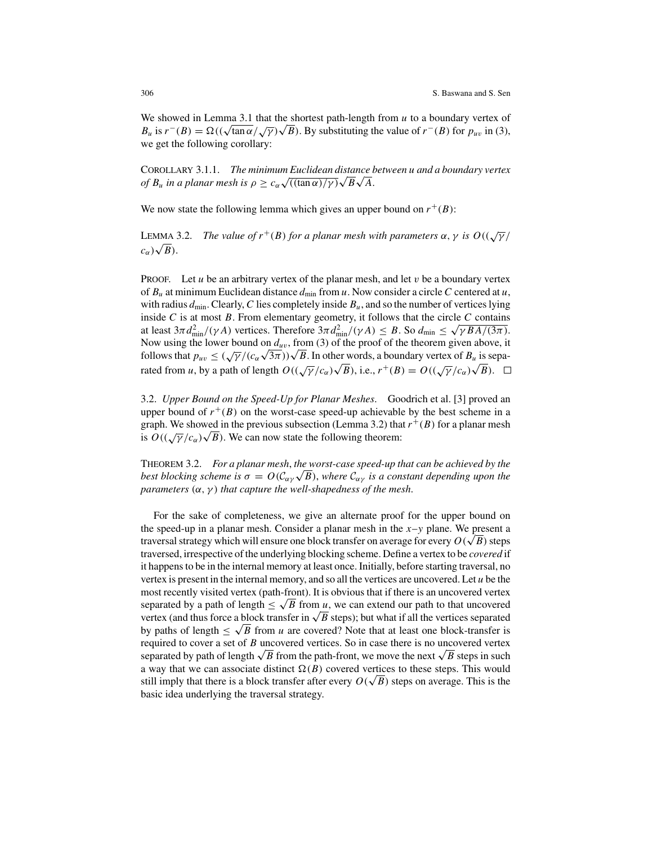We showed in Lemma 3.1 that the shortest path-length from *u* to a boundary vertex of  $B_u$  is  $r^-(B) = \Omega((\sqrt{\tan \alpha}/\sqrt{\gamma})\sqrt{B})$ . By substituting the value of  $r^-(B)$  for  $p_{uv}$  in (3), we get the following corollary:

COROLLARY 3.1.1. *The minimum Euclidean distance between u and a boundary vertex* COROLLARY 3.1.1. *The minimum Euclidean distance to b f B<sub>u</sub> in a planar mesh is*  $\rho \geq c_{\alpha} \sqrt{\left(\frac{\tan \alpha}{\gamma}\right)^2 \sqrt{B}} \sqrt{A}$ .

We now state the following lemma which gives an upper bound on  $r^+(B)$ :

LEMMA 3.2. *The value of r*<sup>+</sup>(*B*) *for a planar mesh with parameters*  $\alpha$ ,  $\gamma$  *is O*(( $\sqrt{\gamma}$ / *c*<sub>α</sub>) $\sqrt{B}$ ).

**PROOF.** Let  $u$  be an arbitrary vertex of the planar mesh, and let  $v$  be a boundary vertex of  $B_u$  at minimum Euclidean distance  $d_{\text{min}}$  from *u*. Now consider a circle *C* centered at *u*, with radius  $d_{\text{min}}$ . Clearly, *C* lies completely inside  $B_u$ , and so the number of vertices lying inside *C* is at most *B*. From elementary geometry, it follows that the circle *C* contains at least 3π $d_{\min}^2/(\gamma A)$  vertices. Therefore  $3\pi d_{\min}^2/(\gamma A) \leq B$ . So  $d_{\min} \leq \sqrt{\gamma B A/(3\pi)}$ . Now using the lower bound on  $d_{uv}$ , from (3) of the proof of the theorem given above, it Now using the lower bound on  $d_{uv}$ , from (3) or the proof of the theorem given above, it follows that  $p_{uv} \leq (\sqrt{\gamma}/(c_\alpha \sqrt{3\pi}))\sqrt{B}$ . In other words, a boundary vertex of  $B_u$  is separated from *u*, by a path of length  $O((\sqrt{\gamma}/c_{\alpha})\sqrt{B})$ , i.e.,  $r^+(B) = O((\sqrt{\gamma}/c_{\alpha})\sqrt{B})$ .

3.2. *Upper Bound on the Speed-Up for Planar Meshes*. Goodrich et al. [3] proved an upper bound of  $r^+(B)$  on the worst-case speed-up achievable by the best scheme in a graph. We showed in the previous subsection (Lemma 3.2) that  $r^+(B)$  for a planar mesh graph. We showed in the previous subsection (Lemma 3.2) that<br>is  $O((\sqrt{\gamma}/c_{\alpha})\sqrt{B})$ . We can now state the following theorem:

THEOREM 3.2. *For a planar mesh*, *the worst-case speed-up that can be achieved by the b best blocking scheme is*  $\sigma = O(C_{\alpha\gamma}\sqrt{B})$ , where  $C_{\alpha\gamma}$  is a constant depending upon the best blocking scheme is  $\sigma = O(C_{\alpha\gamma}\sqrt{B})$ , where  $C_{\alpha\gamma}$  is a constant depending upon the *parameters* (α, γ ) *that capture the well-shapedness of the mesh*.

For the sake of completeness, we give an alternate proof for the upper bound on the speed-up in a planar mesh. Consider a planar mesh in the  $x-y$  plane. We present a the speed-up in a planar mesh. Consider a planar mesh in the  $x-y$  plane. We present a<br>traversal strategy which will ensure one block transfer on average for every  $O(\sqrt{B})$  steps traversed, irrespective of the underlying blocking scheme. Define a vertex to be *covered* if it happens to be in the internal memory at least once. Initially, before starting traversal, no vertex is present in the internal memory, and so all the vertices are uncovered. Let *u* be the most recently visited vertex (path-front). It is obvious that if there is an uncovered vertex separated by a path of length  $\leq \sqrt{B}$  from *u*, we can extend our path to that uncovered vertex (and thus force a block transfer in  $\sqrt{B}$  steps); but what if all the vertices separated by paths of length  $\lt \sqrt{B}$  from *u* are covered? Note that at least one block-transfer is required to cover a set of *B* uncovered vertices. So in case there is no uncovered vertex separated by path of length  $\sqrt{B}$  from the path-front, we move the next  $\sqrt{B}$  steps in such a way that we can associate distinct  $\Omega(B)$  covered vertices to these steps. This would a way that we can associate distinct  $\Omega(B)$  covered vertices to these steps. This would<br>still imply that there is a block transfer after every  $O(\sqrt{B})$  steps on average. This is the basic idea underlying the traversal strategy.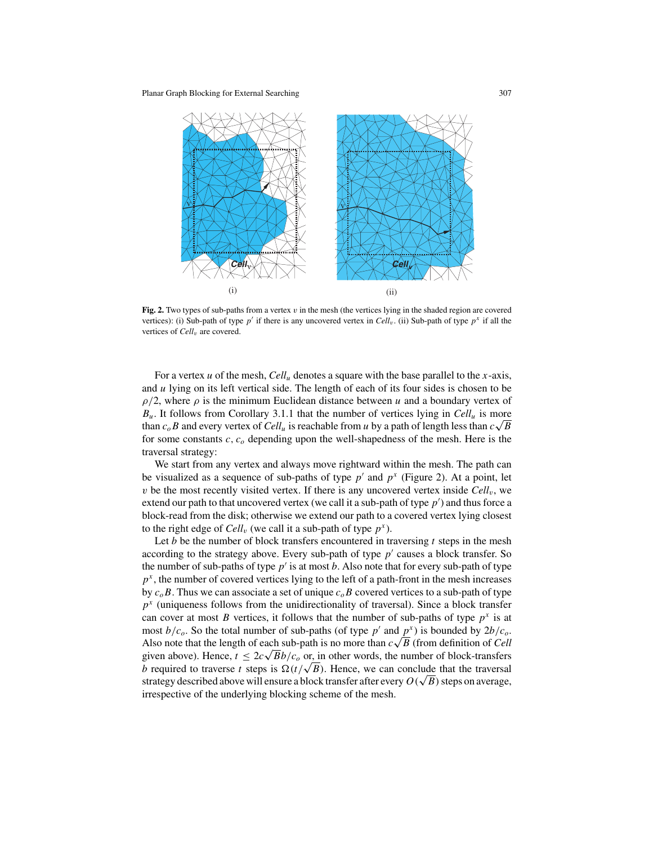

**Fig. 2.** Two types of sub-paths from a vertex  $v$  in the mesh (the vertices lying in the shaded region are covered vertices): (i) Sub-path of type  $p'$  if there is any uncovered vertex in *Cell<sub>v</sub>*. (ii) Sub-path of type  $p^x$  if all the vertices of *Cell<sub>v</sub>* are covered.

For a vertex *u* of the mesh, *Cellu* denotes a square with the base parallel to the *x*-axis, and *u* lying on its left vertical side. The length of each of its four sides is chosen to be  $\rho/2$ , where  $\rho$  is the minimum Euclidean distance between *u* and a boundary vertex of *Bu*. It follows from Corollary 3.1.1 that the number of vertices lying in *Cellu* is more  $B_u$ . It follows from Corollary 3.1.1 that the number of vertices lying in Cell<sub>u</sub> is more<br>than  $c_oB$  and every vertex of Cell<sub>u</sub> is reachable from *u* by a path of length less than  $c\sqrt{B}$ for some constants *c*, *co* depending upon the well-shapedness of the mesh. Here is the traversal strategy:

We start from any vertex and always move rightward within the mesh. The path can be visualized as a sequence of sub-paths of type  $p'$  and  $p^x$  (Figure 2). At a point, let  $v$  be the most recently visited vertex. If there is any uncovered vertex inside  $Cell_v$ , we extend our path to that uncovered vertex (we call it a sub-path of type  $p'$ ) and thus force a block-read from the disk; otherwise we extend our path to a covered vertex lying closest to the right edge of  $Cell_v$  (we call it a sub-path of type  $p^x$ ).

Let *b* be the number of block transfers encountered in traversing *t* steps in the mesh according to the strategy above. Every sub-path of type  $p'$  causes a block transfer. So the number of sub-paths of type  $p'$  is at most *b*. Also note that for every sub-path of type  $p^x$ , the number of covered vertices lying to the left of a path-front in the mesh increases by  $c_0B$ . Thus we can associate a set of unique  $c_0B$  covered vertices to a sub-path of type  $p^x$  (uniqueness follows from the unidirectionality of traversal). Since a block transfer can cover at most *B* vertices, it follows that the number of sub-paths of type  $p^x$  is at most  $b/c<sub>o</sub>$ . So the total number of sub-paths (of type *p'* and *p<sup>x</sup>*) is bounded by  $2b/c<sub>o</sub>$ . Also note that the length of each sub-paths (or type  $p^r$  and  $p^s$ ) is bounded by  $2b/c_o$ .<br>Also note that the length of each sub-path is no more than  $c\sqrt{B}$  (from definition of *Cell* Also note that the length of each sub-path is no more than  $c\sqrt{B}$  (from definition of *Cell* given above). Hence,  $t \leq 2c\sqrt{B}b/c<sub>o</sub>$  or, in other words, the number of block-transfers *b* required to traverse *t* steps is  $\Omega(t/\sqrt{B})$ . Hence, we can conclude that the traversal *b* required to traverse *t* steps is  $\Omega(t/\sqrt{B})$ . Hence, we can conclude that the traversal *b* required to traverse *t* steps is  $\Omega(t/\sqrt{B})$ . Hence, we can conclude that the traversal strategy described above will ensure a block transfer after every  $O(\sqrt{B})$  steps on average, irrespective of the underlying blocking scheme of the mesh.